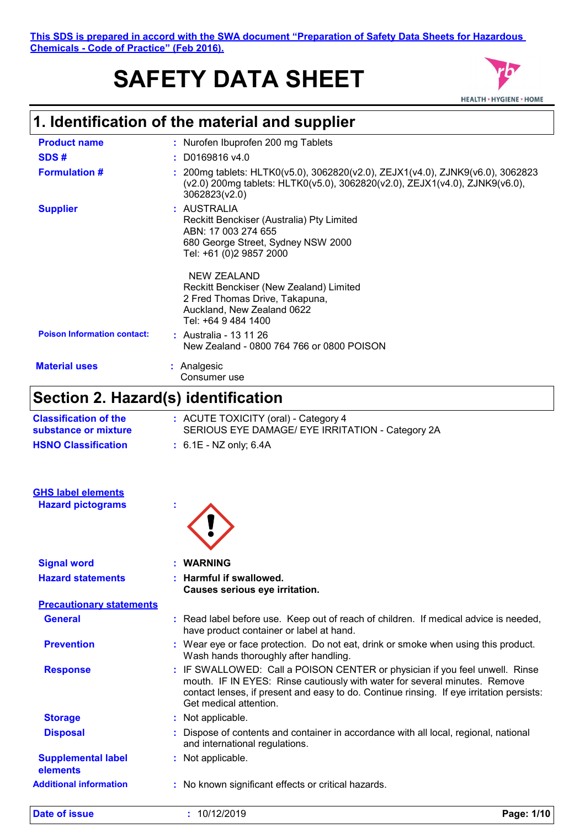**This SDS is prepared in accord with the SWA document "Preparation of Safety Data Sheets for Hazardous Chemicals - Code of Practice" (Feb 2016).**

# **SAFETY DATA SHEET**



# **1. Identification of the material and supplier**

| <b>Product name</b>                | : Nurofen Ibuprofen 200 mg Tablets                                                                                                                                             |
|------------------------------------|--------------------------------------------------------------------------------------------------------------------------------------------------------------------------------|
| SDS#                               | D0169816 v4.0                                                                                                                                                                  |
| <b>Formulation #</b>               | : 200mg tablets: HLTK0(v5.0), 3062820(v2.0), ZEJX1(v4.0), ZJNK9(v6.0), 3062823<br>(v2.0) 200mg tablets: HLTK0(v5.0), 3062820(v2.0), ZEJX1(v4.0), ZJNK9(v6.0),<br>3062823(v2.0) |
| <b>Supplier</b>                    | : AUSTRALIA<br>Reckitt Benckiser (Australia) Pty Limited<br>ABN: 17 003 274 655<br>680 George Street, Sydney NSW 2000<br>Tel: +61 (0)2 9857 2000                               |
|                                    | NEW ZEALAND<br>Reckitt Benckiser (New Zealand) Limited<br>2 Fred Thomas Drive, Takapuna,<br>Auckland, New Zealand 0622<br>Tel: +64 9 484 1400                                  |
| <b>Poison Information contact:</b> | : Australia - 13 11 26<br>New Zealand - 0800 764 766 or 0800 POISON                                                                                                            |
| <b>Material uses</b>               | : Analgesic<br>Consumer use                                                                                                                                                    |

# **Section 2. Hazard(s) identification**

| .                                                    | . . – .                                                                                                                                                                                                                                                                         |  |
|------------------------------------------------------|---------------------------------------------------------------------------------------------------------------------------------------------------------------------------------------------------------------------------------------------------------------------------------|--|
| <b>Classification of the</b><br>substance or mixture | : ACUTE TOXICITY (oral) - Category 4<br>SERIOUS EYE DAMAGE/ EYE IRRITATION - Category 2A                                                                                                                                                                                        |  |
| <b>HSNO Classification</b>                           | $: 6.1E - NZ$ only; 6.4A                                                                                                                                                                                                                                                        |  |
| <b>GHS label elements</b>                            |                                                                                                                                                                                                                                                                                 |  |
| <b>Hazard pictograms</b>                             |                                                                                                                                                                                                                                                                                 |  |
| <b>Signal word</b>                                   | <b>WARNING</b>                                                                                                                                                                                                                                                                  |  |
| <b>Hazard statements</b>                             | : Harmful if swallowed.<br>Causes serious eye irritation.                                                                                                                                                                                                                       |  |
| <b>Precautionary statements</b>                      |                                                                                                                                                                                                                                                                                 |  |
| <b>General</b>                                       | : Read label before use. Keep out of reach of children. If medical advice is needed,<br>have product container or label at hand.                                                                                                                                                |  |
| <b>Prevention</b>                                    | : Wear eye or face protection. Do not eat, drink or smoke when using this product.<br>Wash hands thoroughly after handling.                                                                                                                                                     |  |
| <b>Response</b>                                      | : IF SWALLOWED: Call a POISON CENTER or physician if you feel unwell. Rinse<br>mouth. IF IN EYES: Rinse cautiously with water for several minutes. Remove<br>contact lenses, if present and easy to do. Continue rinsing. If eye irritation persists:<br>Get medical attention. |  |
| <b>Storage</b>                                       | : Not applicable.                                                                                                                                                                                                                                                               |  |
| <b>Disposal</b>                                      | : Dispose of contents and container in accordance with all local, regional, national<br>and international regulations.                                                                                                                                                          |  |
| <b>Supplemental label</b><br>elements                | : Not applicable.                                                                                                                                                                                                                                                               |  |
| <b>Additional information</b>                        | : No known significant effects or critical hazards.                                                                                                                                                                                                                             |  |
| Date of issue                                        | : 10/12/2019<br>Page: 1/10                                                                                                                                                                                                                                                      |  |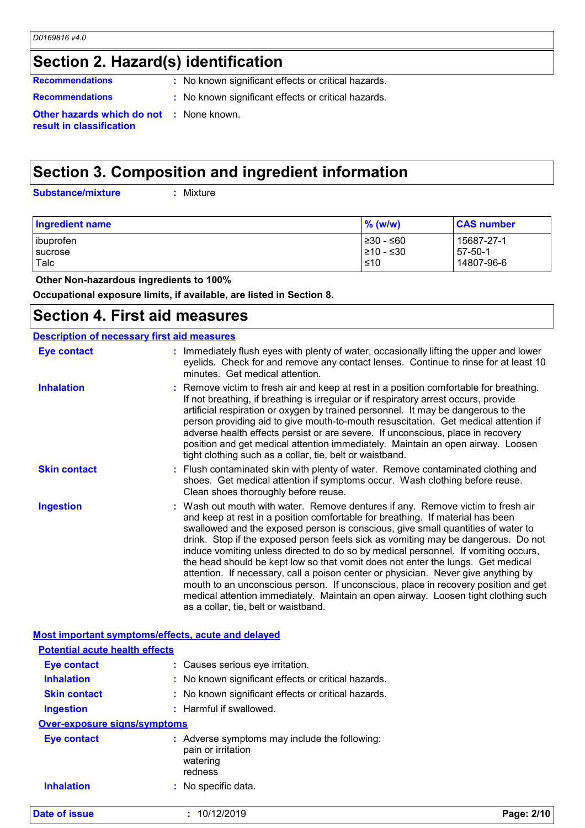### **Section 2. Hazard(s) identification**

**Recommendations** : No known significant effects or critical hazards.

- 
- **Recommendations :** No known significant effects or critical hazards.

**Other hazards which do not :** None known. **result in classification**

### **Section 3. Composition and ingredient information**

**Substance/mixture :**

: Mixture

| <b>Ingredient name</b> | $%$ (w/w)              | <b>CAS number</b>     |
|------------------------|------------------------|-----------------------|
| ibuprofen              | l≥30 - ≤60             | 15687-27-1            |
| sucrose<br>Talc        | 210 - ≤30<br>$\leq 10$ | 57-50-1<br>14807-96-6 |

 **Other Non-hazardous ingredients to 100%**

**Occupational exposure limits, if available, are listed in Section 8.**

### **Section 4. First aid measures**

| <b>Description of necessary first aid measures</b>                                                                                                                                                                                                                                                                                                                                                                                                                                                                                                                                                                                                                                                                                                                                                                            |
|-------------------------------------------------------------------------------------------------------------------------------------------------------------------------------------------------------------------------------------------------------------------------------------------------------------------------------------------------------------------------------------------------------------------------------------------------------------------------------------------------------------------------------------------------------------------------------------------------------------------------------------------------------------------------------------------------------------------------------------------------------------------------------------------------------------------------------|
| : Immediately flush eyes with plenty of water, occasionally lifting the upper and lower<br>eyelids. Check for and remove any contact lenses. Continue to rinse for at least 10<br>minutes. Get medical attention.                                                                                                                                                                                                                                                                                                                                                                                                                                                                                                                                                                                                             |
| : Remove victim to fresh air and keep at rest in a position comfortable for breathing.<br>If not breathing, if breathing is irregular or if respiratory arrest occurs, provide<br>artificial respiration or oxygen by trained personnel. It may be dangerous to the<br>person providing aid to give mouth-to-mouth resuscitation. Get medical attention if<br>adverse health effects persist or are severe. If unconscious, place in recovery<br>position and get medical attention immediately. Maintain an open airway. Loosen<br>tight clothing such as a collar, tie, belt or waistband.                                                                                                                                                                                                                                  |
| : Flush contaminated skin with plenty of water. Remove contaminated clothing and<br>shoes. Get medical attention if symptoms occur. Wash clothing before reuse.<br>Clean shoes thoroughly before reuse.                                                                                                                                                                                                                                                                                                                                                                                                                                                                                                                                                                                                                       |
| : Wash out mouth with water. Remove dentures if any. Remove victim to fresh air<br>and keep at rest in a position comfortable for breathing. If material has been<br>swallowed and the exposed person is conscious, give small quantities of water to<br>drink. Stop if the exposed person feels sick as vomiting may be dangerous. Do not<br>induce vomiting unless directed to do so by medical personnel. If vomiting occurs,<br>the head should be kept low so that vomit does not enter the lungs. Get medical<br>attention. If necessary, call a poison center or physician. Never give anything by<br>mouth to an unconscious person. If unconscious, place in recovery position and get<br>medical attention immediately. Maintain an open airway. Loosen tight clothing such<br>as a collar, tie, belt or waistband. |
|                                                                                                                                                                                                                                                                                                                                                                                                                                                                                                                                                                                                                                                                                                                                                                                                                               |

#### **Most important symptoms/effects, acute and delayed**

| <b>Date of issue</b>                  | : 10/12/2019                                                                               | Page: 2/10 |
|---------------------------------------|--------------------------------------------------------------------------------------------|------------|
| <b>Inhalation</b>                     | : No specific data.                                                                        |            |
| <b>Eye contact</b>                    | : Adverse symptoms may include the following:<br>pain or irritation<br>watering<br>redness |            |
| <b>Over-exposure signs/symptoms</b>   |                                                                                            |            |
| <b>Ingestion</b>                      | : Harmful if swallowed.                                                                    |            |
| <b>Skin contact</b>                   | : No known significant effects or critical hazards.                                        |            |
| <b>Inhalation</b>                     | : No known significant effects or critical hazards.                                        |            |
| <b>Eye contact</b>                    | : Causes serious eye irritation.                                                           |            |
| <b>Potential acute health effects</b> |                                                                                            |            |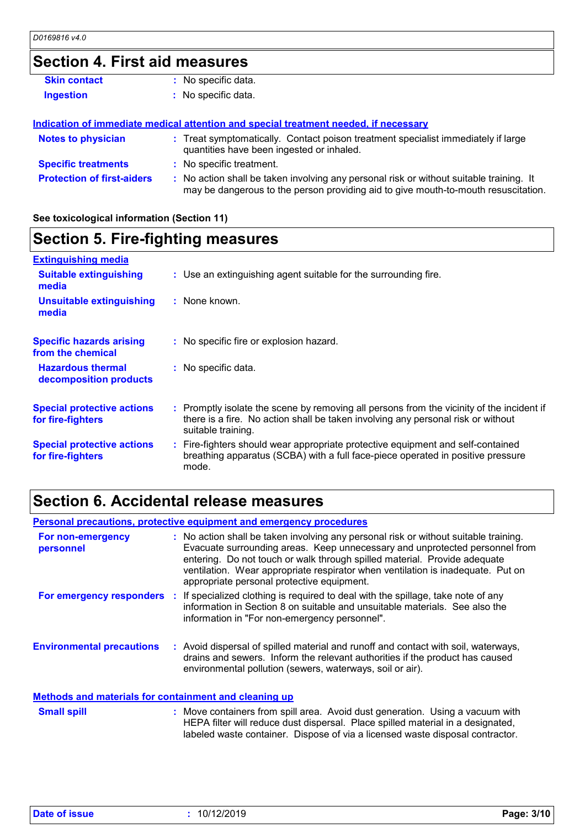# **Section 4. First aid measures**

| <b>Skin contact</b>               | : No specific data.                                                                                                                                                           |
|-----------------------------------|-------------------------------------------------------------------------------------------------------------------------------------------------------------------------------|
| <b>Ingestion</b>                  | : No specific data.                                                                                                                                                           |
|                                   |                                                                                                                                                                               |
|                                   | Indication of immediate medical attention and special treatment needed, if necessary                                                                                          |
| <b>Notes to physician</b>         | : Treat symptomatically. Contact poison treatment specialist immediately if large<br>quantities have been ingested or inhaled.                                                |
| <b>Specific treatments</b>        | : No specific treatment.                                                                                                                                                      |
| <b>Protection of first-aiders</b> | : No action shall be taken involving any personal risk or without suitable training. It<br>may be dangerous to the person providing aid to give mouth-to-mouth resuscitation. |

#### **See toxicological information (Section 11)**

### **Section 5. Fire-fighting measures**

| <b>Extinguishing media</b>                             |                                                                                                                                                                                                     |
|--------------------------------------------------------|-----------------------------------------------------------------------------------------------------------------------------------------------------------------------------------------------------|
| <b>Suitable extinguishing</b><br>media                 | : Use an extinguishing agent suitable for the surrounding fire.                                                                                                                                     |
| <b>Unsuitable extinguishing</b><br>media               | $:$ None known.                                                                                                                                                                                     |
| <b>Specific hazards arising</b><br>from the chemical   | : No specific fire or explosion hazard.                                                                                                                                                             |
| <b>Hazardous thermal</b><br>decomposition products     | : No specific data.                                                                                                                                                                                 |
| <b>Special protective actions</b><br>for fire-fighters | : Promptly isolate the scene by removing all persons from the vicinity of the incident if<br>there is a fire. No action shall be taken involving any personal risk or without<br>suitable training. |
| <b>Special protective actions</b><br>for fire-fighters | : Fire-fighters should wear appropriate protective equipment and self-contained<br>breathing apparatus (SCBA) with a full face-piece operated in positive pressure<br>mode.                         |

# **Section 6. Accidental release measures**

|                                                              | <b>Personal precautions, protective equipment and emergency procedures</b>                                                                                                                                                                                                                                                                                                        |
|--------------------------------------------------------------|-----------------------------------------------------------------------------------------------------------------------------------------------------------------------------------------------------------------------------------------------------------------------------------------------------------------------------------------------------------------------------------|
| For non-emergency<br>personnel                               | : No action shall be taken involving any personal risk or without suitable training.<br>Evacuate surrounding areas. Keep unnecessary and unprotected personnel from<br>entering. Do not touch or walk through spilled material. Provide adequate<br>ventilation. Wear appropriate respirator when ventilation is inadequate. Put on<br>appropriate personal protective equipment. |
|                                                              | For emergency responders : If specialized clothing is required to deal with the spillage, take note of any<br>information in Section 8 on suitable and unsuitable materials. See also the<br>information in "For non-emergency personnel".                                                                                                                                        |
| <b>Environmental precautions</b>                             | : Avoid dispersal of spilled material and runoff and contact with soil, waterways,<br>drains and sewers. Inform the relevant authorities if the product has caused<br>environmental pollution (sewers, waterways, soil or air).                                                                                                                                                   |
| <b>Methods and materials for containment and cleaning up</b> |                                                                                                                                                                                                                                                                                                                                                                                   |
| <b>Small spill</b>                                           | : Move containers from spill area. Avoid dust generation. Using a vacuum with<br>HEPA filter will reduce dust dispersal. Place spilled material in a designated,<br>labeled waste container. Dispose of via a licensed waste disposal contractor.                                                                                                                                 |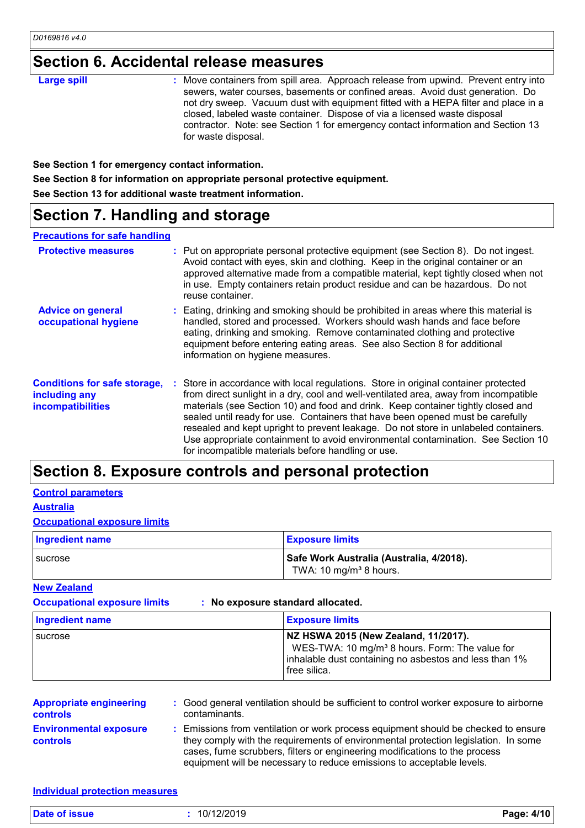### **Section 6. Accidental release measures**

| <b>Large spill</b> | : Move containers from spill area. Approach release from upwind. Prevent entry into<br>sewers, water courses, basements or confined areas. Avoid dust generation. Do<br>not dry sweep. Vacuum dust with equipment fitted with a HEPA filter and place in a<br>closed, labeled waste container. Dispose of via a licensed waste disposal<br>contractor. Note: see Section 1 for emergency contact information and Section 13<br>for waste disposal. |
|--------------------|----------------------------------------------------------------------------------------------------------------------------------------------------------------------------------------------------------------------------------------------------------------------------------------------------------------------------------------------------------------------------------------------------------------------------------------------------|
|--------------------|----------------------------------------------------------------------------------------------------------------------------------------------------------------------------------------------------------------------------------------------------------------------------------------------------------------------------------------------------------------------------------------------------------------------------------------------------|

**See Section 1 for emergency contact information.**

**See Section 8 for information on appropriate personal protective equipment.**

**See Section 13 for additional waste treatment information.**

### **Section 7. Handling and storage**

#### **Precautions for safe handling**

| <b>Protective measures</b>                                                | : Put on appropriate personal protective equipment (see Section 8). Do not ingest.<br>Avoid contact with eyes, skin and clothing. Keep in the original container or an<br>approved alternative made from a compatible material, kept tightly closed when not<br>in use. Empty containers retain product residue and can be hazardous. Do not<br>reuse container.                                                                                                                                                                                                                   |
|---------------------------------------------------------------------------|------------------------------------------------------------------------------------------------------------------------------------------------------------------------------------------------------------------------------------------------------------------------------------------------------------------------------------------------------------------------------------------------------------------------------------------------------------------------------------------------------------------------------------------------------------------------------------|
| <b>Advice on general</b><br>occupational hygiene                          | : Eating, drinking and smoking should be prohibited in areas where this material is<br>handled, stored and processed. Workers should wash hands and face before<br>eating, drinking and smoking. Remove contaminated clothing and protective<br>equipment before entering eating areas. See also Section 8 for additional<br>information on hygiene measures.                                                                                                                                                                                                                      |
| <b>Conditions for safe storage,</b><br>including any<br>incompatibilities | : Store in accordance with local regulations. Store in original container protected<br>from direct sunlight in a dry, cool and well-ventilated area, away from incompatible<br>materials (see Section 10) and food and drink. Keep container tightly closed and<br>sealed until ready for use. Containers that have been opened must be carefully<br>resealed and kept upright to prevent leakage. Do not store in unlabeled containers.<br>Use appropriate containment to avoid environmental contamination. See Section 10<br>for incompatible materials before handling or use. |

### **Section 8. Exposure controls and personal protection**

### **Control parameters**

#### **Australia**

#### **Occupational exposure limits**

| <b>Ingredient name</b> | <b>Exposure limits</b>                                                         |
|------------------------|--------------------------------------------------------------------------------|
| I sucrose              | Safe Work Australia (Australia, 4/2018).<br>TWA: 10 mg/m <sup>3</sup> 8 hours. |

#### **New Zealand**

**Occupational exposure limits : No exposure standard allocated.**

| <b>Ingredient name</b> | <b>Exposure limits</b>                                                                                                                                                       |
|------------------------|------------------------------------------------------------------------------------------------------------------------------------------------------------------------------|
| sucrose                | NZ HSWA 2015 (New Zealand, 11/2017).<br>WES-TWA: 10 mg/m <sup>3</sup> 8 hours. Form: The value for<br>inhalable dust containing no asbestos and less than 1%<br>free silica. |

| <b>Appropriate engineering</b><br><b>controls</b> | : Good general ventilation should be sufficient to control worker exposure to airborne<br>contaminants.                                                                                                                                                                                                                         |
|---------------------------------------------------|---------------------------------------------------------------------------------------------------------------------------------------------------------------------------------------------------------------------------------------------------------------------------------------------------------------------------------|
| <b>Environmental exposure</b><br><b>controls</b>  | : Emissions from ventilation or work process equipment should be checked to ensure<br>they comply with the requirements of environmental protection legislation. In some<br>cases, fume scrubbers, filters or engineering modifications to the process<br>equipment will be necessary to reduce emissions to acceptable levels. |

#### **Individual protection measures**

| <b>Date of issue</b> | 12/2019<br>10/1 | Page: 4/10 |
|----------------------|-----------------|------------|
|                      |                 |            |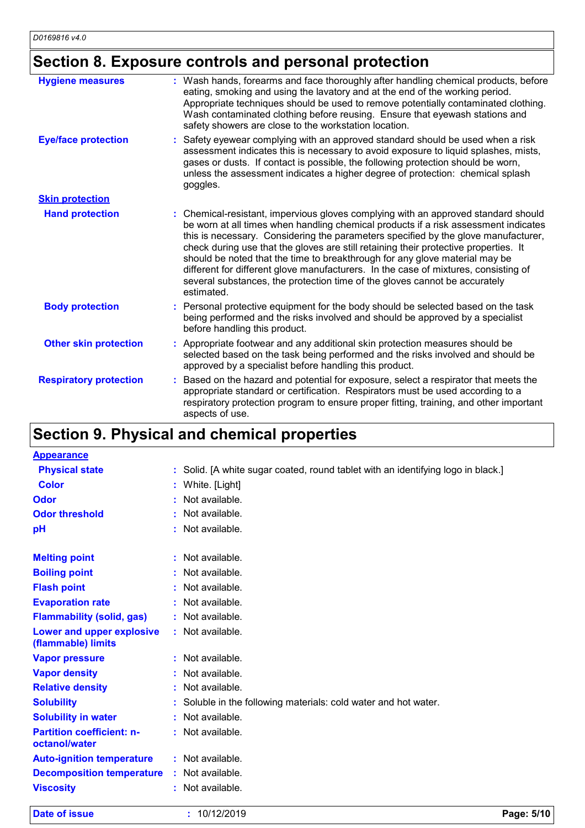# **Section 8. Exposure controls and personal protection**

| <b>Hygiene measures</b>       | Wash hands, forearms and face thoroughly after handling chemical products, before<br>eating, smoking and using the lavatory and at the end of the working period.<br>Appropriate techniques should be used to remove potentially contaminated clothing.<br>Wash contaminated clothing before reusing. Ensure that eyewash stations and<br>safety showers are close to the workstation location.                                                                                                                                                                                                                           |
|-------------------------------|---------------------------------------------------------------------------------------------------------------------------------------------------------------------------------------------------------------------------------------------------------------------------------------------------------------------------------------------------------------------------------------------------------------------------------------------------------------------------------------------------------------------------------------------------------------------------------------------------------------------------|
| <b>Eye/face protection</b>    | Safety eyewear complying with an approved standard should be used when a risk<br>assessment indicates this is necessary to avoid exposure to liquid splashes, mists,<br>gases or dusts. If contact is possible, the following protection should be worn,<br>unless the assessment indicates a higher degree of protection: chemical splash<br>goggles.                                                                                                                                                                                                                                                                    |
| <b>Skin protection</b>        |                                                                                                                                                                                                                                                                                                                                                                                                                                                                                                                                                                                                                           |
| <b>Hand protection</b>        | : Chemical-resistant, impervious gloves complying with an approved standard should<br>be worn at all times when handling chemical products if a risk assessment indicates<br>this is necessary. Considering the parameters specified by the glove manufacturer,<br>check during use that the gloves are still retaining their protective properties. It<br>should be noted that the time to breakthrough for any glove material may be<br>different for different glove manufacturers. In the case of mixtures, consisting of<br>several substances, the protection time of the gloves cannot be accurately<br>estimated. |
| <b>Body protection</b>        | : Personal protective equipment for the body should be selected based on the task<br>being performed and the risks involved and should be approved by a specialist<br>before handling this product.                                                                                                                                                                                                                                                                                                                                                                                                                       |
| <b>Other skin protection</b>  | : Appropriate footwear and any additional skin protection measures should be<br>selected based on the task being performed and the risks involved and should be<br>approved by a specialist before handling this product.                                                                                                                                                                                                                                                                                                                                                                                                 |
| <b>Respiratory protection</b> | Based on the hazard and potential for exposure, select a respirator that meets the<br>appropriate standard or certification. Respirators must be used according to a<br>respiratory protection program to ensure proper fitting, training, and other important<br>aspects of use.                                                                                                                                                                                                                                                                                                                                         |

# **Section 9. Physical and chemical properties**

| <b>Date of issue</b>                              | : 10/12/2019                                                                     | Page: 5/10 |
|---------------------------------------------------|----------------------------------------------------------------------------------|------------|
| <b>Viscosity</b>                                  | : Not available.                                                                 |            |
| <b>Decomposition temperature</b>                  | : Not available.                                                                 |            |
| <b>Auto-ignition temperature</b>                  | : Not available.                                                                 |            |
| <b>Partition coefficient: n-</b><br>octanol/water | : Not available.                                                                 |            |
| <b>Solubility in water</b>                        | : Not available.                                                                 |            |
| <b>Solubility</b>                                 | : Soluble in the following materials: cold water and hot water.                  |            |
| <b>Relative density</b>                           | : Not available.                                                                 |            |
| <b>Vapor density</b>                              | : Not available.                                                                 |            |
| <b>Vapor pressure</b>                             | $:$ Not available.                                                               |            |
| Lower and upper explosive<br>(flammable) limits   | : Not available.                                                                 |            |
| <b>Flammability (solid, gas)</b>                  | : Not available.                                                                 |            |
| <b>Evaporation rate</b>                           | : Not available.                                                                 |            |
| <b>Flash point</b>                                | : Not available.                                                                 |            |
| <b>Boiling point</b>                              | : Not available.                                                                 |            |
| <b>Melting point</b>                              | : Not available.                                                                 |            |
| pH                                                | : Not available.                                                                 |            |
| <b>Odor threshold</b>                             | : Not available.                                                                 |            |
| Odor                                              | : Not available.                                                                 |            |
| Color                                             | : White. [Light]                                                                 |            |
| <b>Physical state</b>                             | : Solid. [A white sugar coated, round tablet with an identifying logo in black.] |            |
| <b>Appearance</b>                                 |                                                                                  |            |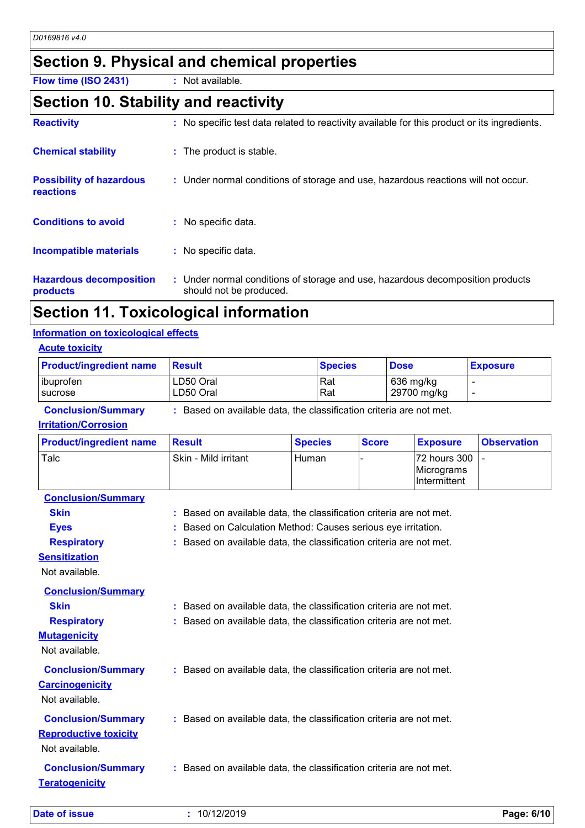### **Section 9. Physical and chemical properties**

**Flow time (ISO 2431) :** Not available.

### **Section 10. Stability and reactivity**

| <b>Hazardous decomposition</b><br>products   | : Under normal conditions of storage and use, hazardous decomposition products<br>should not be produced. |
|----------------------------------------------|-----------------------------------------------------------------------------------------------------------|
| <b>Incompatible materials</b>                | : No specific data.                                                                                       |
| <b>Conditions to avoid</b>                   | : No specific data.                                                                                       |
| <b>Possibility of hazardous</b><br>reactions | : Under normal conditions of storage and use, hazardous reactions will not occur.                         |
| <b>Chemical stability</b>                    | : The product is stable.                                                                                  |
| <b>Reactivity</b>                            | : No specific test data related to reactivity available for this product or its ingredients.              |

### **Section 11. Toxicological information**

### **Information on toxicological effects**

#### **Acute toxicity**

| <b>Product/ingredient name</b> | <b>Result</b> | <b>Species</b> | <b>Dose</b> | <b>Exposure</b> |
|--------------------------------|---------------|----------------|-------------|-----------------|
| ibuprofen                      | LD50 Oral     | Rat            | 636 mg/kg   |                 |
| <b>I</b> sucrose               | LD50 Oral     | Rat            | 29700 mg/kg |                 |

**Conclusion/Summary :** Based on available data, the classification criteria are not met.

#### **Irritation/Corrosion**

| <b>Product/ingredient name</b> | <b>Result</b>                                                       | <b>Species</b> | <b>Score</b> | <b>Exposure</b>                            | <b>Observation</b> |
|--------------------------------|---------------------------------------------------------------------|----------------|--------------|--------------------------------------------|--------------------|
| Talc                           | Skin - Mild irritant                                                | Human          |              | 72 hours 300<br>Micrograms<br>Intermittent | $\overline{a}$     |
| <b>Conclusion/Summary</b>      |                                                                     |                |              |                                            |                    |
| <b>Skin</b>                    | : Based on available data, the classification criteria are not met. |                |              |                                            |                    |
| <b>Eyes</b>                    | Based on Calculation Method: Causes serious eye irritation.         |                |              |                                            |                    |
| <b>Respiratory</b>             | : Based on available data, the classification criteria are not met. |                |              |                                            |                    |
| <b>Sensitization</b>           |                                                                     |                |              |                                            |                    |
| Not available.                 |                                                                     |                |              |                                            |                    |
| <b>Conclusion/Summary</b>      |                                                                     |                |              |                                            |                    |
| <b>Skin</b>                    | : Based on available data, the classification criteria are not met. |                |              |                                            |                    |
| <b>Respiratory</b>             | : Based on available data, the classification criteria are not met. |                |              |                                            |                    |
| <b>Mutagenicity</b>            |                                                                     |                |              |                                            |                    |
| Not available.                 |                                                                     |                |              |                                            |                    |
| <b>Conclusion/Summary</b>      | : Based on available data, the classification criteria are not met. |                |              |                                            |                    |
| <b>Carcinogenicity</b>         |                                                                     |                |              |                                            |                    |
| Not available.                 |                                                                     |                |              |                                            |                    |
| <b>Conclusion/Summary</b>      | : Based on available data, the classification criteria are not met. |                |              |                                            |                    |
| <b>Reproductive toxicity</b>   |                                                                     |                |              |                                            |                    |
| Not available.                 |                                                                     |                |              |                                            |                    |
|                                |                                                                     |                |              |                                            |                    |
| <b>Conclusion/Summary</b>      | : Based on available data, the classification criteria are not met. |                |              |                                            |                    |
| <b>Teratogenicity</b>          |                                                                     |                |              |                                            |                    |

|  | Date of issue | 10/12/2019 |  | Page: 6/10 |  |
|--|---------------|------------|--|------------|--|
|--|---------------|------------|--|------------|--|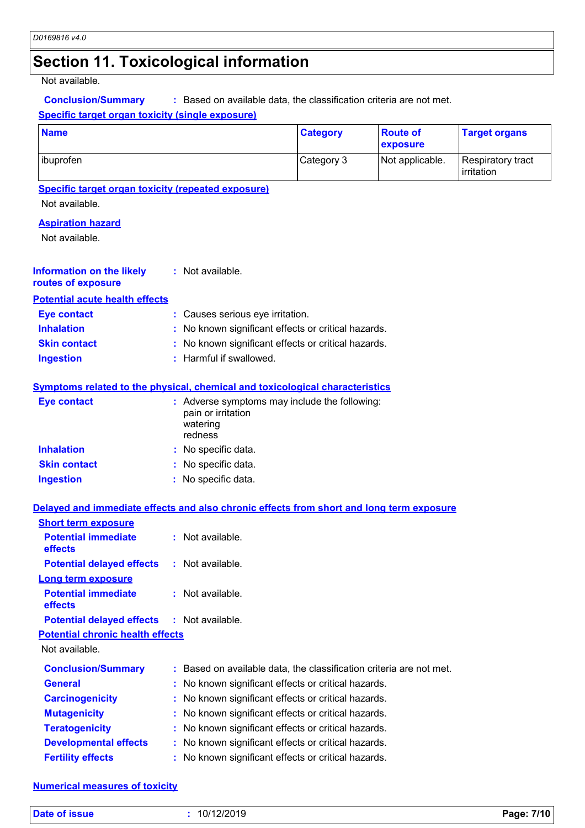# **Section 11. Toxicological information**

#### Not available.

**Conclusion/Summary :** Based on available data, the classification criteria are not met.

#### **Specific target organ toxicity (single exposure)**

| <b>Name</b>                                                                              |                                           | <b>Category</b>                                                   | <b>Route of</b><br>exposure | <b>Target organs</b>            |
|------------------------------------------------------------------------------------------|-------------------------------------------|-------------------------------------------------------------------|-----------------------------|---------------------------------|
| ibuprofen                                                                                |                                           | Category 3                                                        | Not applicable.             | Respiratory tract<br>irritation |
| <b>Specific target organ toxicity (repeated exposure)</b><br>Not available.              |                                           |                                                                   |                             |                                 |
| <b>Aspiration hazard</b><br>Not available.                                               |                                           |                                                                   |                             |                                 |
| <b>Information on the likely</b><br>routes of exposure                                   | : Not available.                          |                                                                   |                             |                                 |
| <b>Potential acute health effects</b>                                                    |                                           |                                                                   |                             |                                 |
| <b>Eye contact</b>                                                                       | : Causes serious eye irritation.          |                                                                   |                             |                                 |
| <b>Inhalation</b>                                                                        |                                           | : No known significant effects or critical hazards.               |                             |                                 |
| <b>Skin contact</b>                                                                      |                                           | : No known significant effects or critical hazards.               |                             |                                 |
| <b>Ingestion</b>                                                                         | : Harmful if swallowed.                   |                                                                   |                             |                                 |
| <b>Symptoms related to the physical, chemical and toxicological characteristics</b>      |                                           |                                                                   |                             |                                 |
| <b>Eye contact</b>                                                                       | pain or irritation<br>watering<br>redness | : Adverse symptoms may include the following:                     |                             |                                 |
| <b>Inhalation</b>                                                                        | : No specific data.                       |                                                                   |                             |                                 |
| <b>Skin contact</b>                                                                      | : No specific data.                       |                                                                   |                             |                                 |
| <b>Ingestion</b>                                                                         | : No specific data.                       |                                                                   |                             |                                 |
| Delayed and immediate effects and also chronic effects from short and long term exposure |                                           |                                                                   |                             |                                 |
| <b>Short term exposure</b>                                                               |                                           |                                                                   |                             |                                 |
| <b>Potential immediate</b><br>effects                                                    | : Not available.                          |                                                                   |                             |                                 |
| <b>Potential delayed effects</b>                                                         | : Not available.                          |                                                                   |                             |                                 |
| <b>Long term exposure</b>                                                                |                                           |                                                                   |                             |                                 |
| <b>Potential immediate</b><br>effects                                                    | Not available.                            |                                                                   |                             |                                 |
| <b>Potential delayed effects</b>                                                         | $:$ Not available.                        |                                                                   |                             |                                 |
| <b>Potential chronic health effects</b>                                                  |                                           |                                                                   |                             |                                 |
| Not available.                                                                           |                                           |                                                                   |                             |                                 |
| <b>Conclusion/Summary</b>                                                                |                                           | Based on available data, the classification criteria are not met. |                             |                                 |
| <b>General</b>                                                                           |                                           | : No known significant effects or critical hazards.               |                             |                                 |
| <b>Carcinogenicity</b>                                                                   |                                           | No known significant effects or critical hazards.                 |                             |                                 |
| <b>Mutagenicity</b>                                                                      |                                           | : No known significant effects or critical hazards.               |                             |                                 |
| <b>Teratogenicity</b>                                                                    |                                           | : No known significant effects or critical hazards.               |                             |                                 |
| <b>Developmental effects</b>                                                             |                                           | : No known significant effects or critical hazards.               |                             |                                 |
| <b>Fertility effects</b>                                                                 |                                           | : No known significant effects or critical hazards.               |                             |                                 |

#### **Numerical measures of toxicity**

| <b>Date of issue</b> | 2/2019<br>10/1 | Page: 7/10 |
|----------------------|----------------|------------|
|                      |                |            |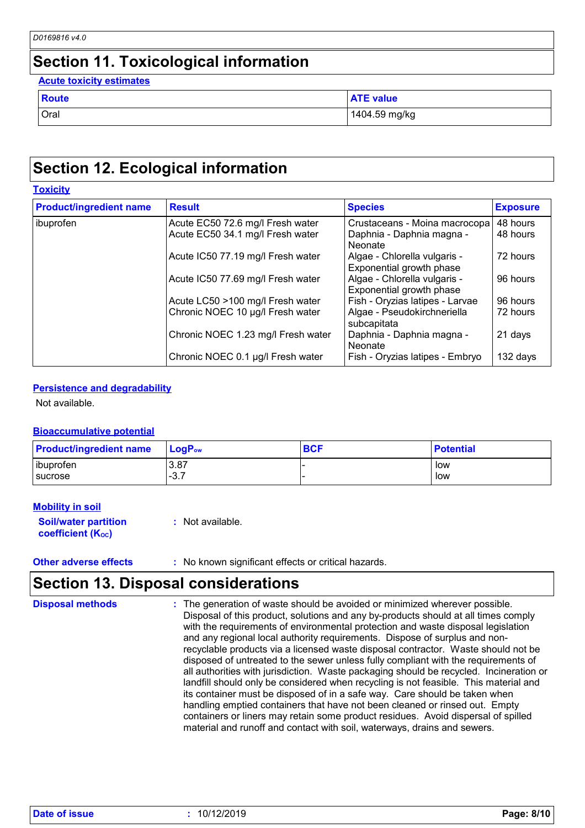### **Section 11. Toxicological information**

#### **Acute toxicity estimates**

| <b>Route</b> | <b>ATE value</b> |
|--------------|------------------|
| <b>Oral</b>  | 1404.59 mg/kg    |

# **Section 12. Ecological information**

#### **Toxicity** ibuprofen Acute EC50 72.6 mg/l Fresh water Crustaceans - Moina macrocopa 48 hours Acute EC50 34.1 mg/l Fresh water | Daphnia - Daphnia magna -Neonate 48 hours Acute IC50 77.19 mg/l Fresh water | Algae - Chlorella vulgaris -Exponential growth phase 72 hours Acute IC50 77.69 mg/l Fresh water | Algae - Chlorella vulgaris -Exponential growth phase 96 hours Acute LC50 >100 mg/l Fresh water Fish - Oryzias latipes - Larvae 96 hours Chronic NOEC 10 µg/l Fresh water | Algae - Pseudokirchneriella subcapitata 72 hours Chronic NOEC 1.23 mg/l Fresh water | Daphnia - Daphnia magna -**Neonate** 21 days Chronic NOEC 0.1 µg/l Fresh water Fish - Oryzias latipes - Embryo 132 days **Product/ingredient name** Result **Result Result Exposure Exposure**

### **Persistence and degradability**

Not available.

### **Bioaccumulative potential**

| <b>Product/ingredient name</b> | $\blacksquare$ Loq $\mathsf{P}_\mathsf{ow}$ | <b>BCF</b> | <b>Potential</b> |
|--------------------------------|---------------------------------------------|------------|------------------|
| ibuprofen                      | 3.87                                        |            | low              |
| I sucrose                      | <u>າ</u><br>. - ت                           |            | low              |

### **Mobility in soil**

**Soil/water partition coefficient (Koc)** 

**:** Not available.

**Other adverse effects :** No known significant effects or critical hazards.

### **Section 13. Disposal considerations**

The generation of waste should be avoided or minimized wherever possible. Disposal of this product, solutions and any by-products should at all times comply with the requirements of environmental protection and waste disposal legislation and any regional local authority requirements. Dispose of surplus and nonrecyclable products via a licensed waste disposal contractor. Waste should not be disposed of untreated to the sewer unless fully compliant with the requirements of all authorities with jurisdiction. Waste packaging should be recycled. Incineration or landfill should only be considered when recycling is not feasible. This material and its container must be disposed of in a safe way. Care should be taken when handling emptied containers that have not been cleaned or rinsed out. Empty containers or liners may retain some product residues. Avoid dispersal of spilled material and runoff and contact with soil, waterways, drains and sewers. **Disposal methods :**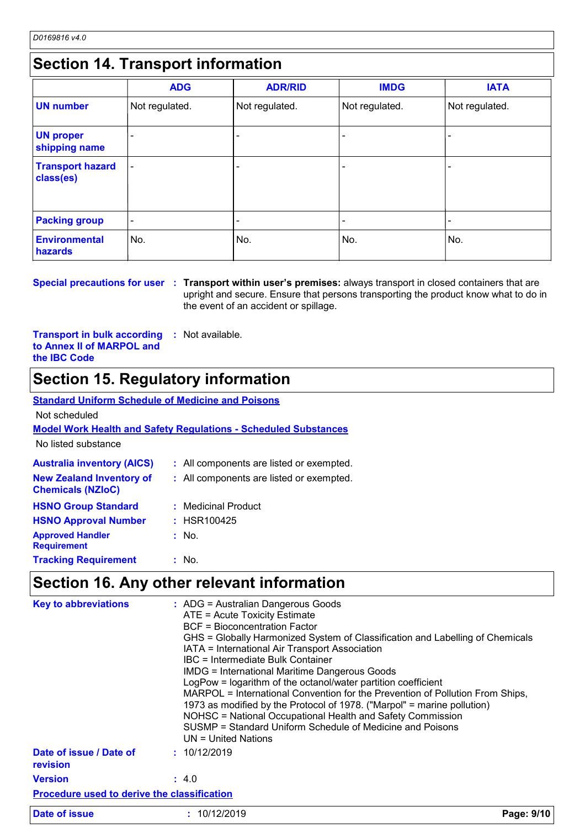# **Section 14. Transport information**

|                                      | <b>ADG</b>               | <b>ADR/RID</b> | <b>IMDG</b>    | <b>IATA</b>    |
|--------------------------------------|--------------------------|----------------|----------------|----------------|
| <b>UN number</b>                     | Not regulated.           | Not regulated. | Not regulated. | Not regulated. |
| <b>UN proper</b><br>shipping name    | $\overline{\phantom{0}}$ |                |                |                |
| <b>Transport hazard</b><br>class(es) | $\overline{\phantom{0}}$ |                |                | $\blacksquare$ |
| <b>Packing group</b>                 | $\overline{\phantom{a}}$ |                |                |                |
| <b>Environmental</b><br>hazards      | No.                      | No.            | No.            | No.            |

**Special precautions for user Transport within user's premises:** always transport in closed containers that are **:** upright and secure. Ensure that persons transporting the product know what to do in the event of an accident or spillage.

**Transport in bulk according to Annex II of MARPOL and the IBC Code :** Not available.

### **Section 15. Regulatory information**

### **Standard Uniform Schedule of Medicine and Poisons**

Not scheduled

### **Model Work Health and Safety Regulations - Scheduled Substances**

No listed substance

| <b>Australia inventory (AICS)</b>                           | : All components are listed or exempted. |
|-------------------------------------------------------------|------------------------------------------|
| <b>New Zealand Inventory of</b><br><b>Chemicals (NZIoC)</b> | : All components are listed or exempted. |
| <b>HSNO Group Standard</b>                                  | : Medicinal Product                      |
| <b>HSNO Approval Number</b>                                 | $:$ HSR100425                            |
| <b>Approved Handler</b><br><b>Requirement</b>               | : No.                                    |
| <b>Tracking Requirement</b>                                 | : No.                                    |

# **Section 16. Any other relevant information**

| <b>Key to abbreviations</b>                        | : ADG = Australian Dangerous Goods<br>ATE = Acute Toxicity Estimate<br>BCF = Bioconcentration Factor<br>GHS = Globally Harmonized System of Classification and Labelling of Chemicals<br>IATA = International Air Transport Association<br>IBC = Intermediate Bulk Container<br><b>IMDG = International Maritime Dangerous Goods</b><br>LogPow = logarithm of the octanol/water partition coefficient<br>MARPOL = International Convention for the Prevention of Pollution From Ships,<br>1973 as modified by the Protocol of 1978. ("Marpol" = marine pollution)<br>NOHSC = National Occupational Health and Safety Commission<br>SUSMP = Standard Uniform Schedule of Medicine and Poisons<br>$UN = United Nations$ |
|----------------------------------------------------|-----------------------------------------------------------------------------------------------------------------------------------------------------------------------------------------------------------------------------------------------------------------------------------------------------------------------------------------------------------------------------------------------------------------------------------------------------------------------------------------------------------------------------------------------------------------------------------------------------------------------------------------------------------------------------------------------------------------------|
| Date of issue / Date of<br>revision                | : 10/12/2019                                                                                                                                                                                                                                                                                                                                                                                                                                                                                                                                                                                                                                                                                                          |
| <b>Version</b>                                     | : 4.0                                                                                                                                                                                                                                                                                                                                                                                                                                                                                                                                                                                                                                                                                                                 |
| <b>Procedure used to derive the classification</b> |                                                                                                                                                                                                                                                                                                                                                                                                                                                                                                                                                                                                                                                                                                                       |
| <b>Date of issue</b>                               | : 10/12/2019<br>Page: 9/10                                                                                                                                                                                                                                                                                                                                                                                                                                                                                                                                                                                                                                                                                            |